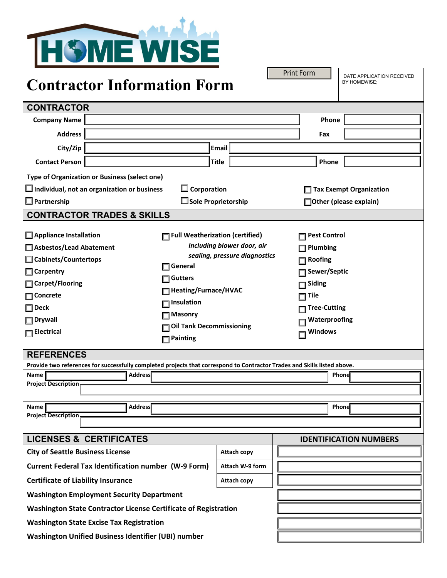

# **Contractor Information Form**

| Contractor Thrormation Torm                                                                                                                                                                                                                                                                                                                                                                                                                                                                                                                                                                                                                            |                            |                    |                                                                                                                                                                            |       |  |
|--------------------------------------------------------------------------------------------------------------------------------------------------------------------------------------------------------------------------------------------------------------------------------------------------------------------------------------------------------------------------------------------------------------------------------------------------------------------------------------------------------------------------------------------------------------------------------------------------------------------------------------------------------|----------------------------|--------------------|----------------------------------------------------------------------------------------------------------------------------------------------------------------------------|-------|--|
| <b>CONTRACTOR</b>                                                                                                                                                                                                                                                                                                                                                                                                                                                                                                                                                                                                                                      |                            |                    |                                                                                                                                                                            |       |  |
| <b>Company Name</b>                                                                                                                                                                                                                                                                                                                                                                                                                                                                                                                                                                                                                                    |                            |                    |                                                                                                                                                                            | Phone |  |
| <b>Address</b>                                                                                                                                                                                                                                                                                                                                                                                                                                                                                                                                                                                                                                         |                            |                    |                                                                                                                                                                            |       |  |
| City/Zip<br>Email                                                                                                                                                                                                                                                                                                                                                                                                                                                                                                                                                                                                                                      |                            |                    |                                                                                                                                                                            |       |  |
| <b>Contact Person</b>                                                                                                                                                                                                                                                                                                                                                                                                                                                                                                                                                                                                                                  | <b>Title</b>               |                    |                                                                                                                                                                            | Phone |  |
| Type of Organization or Business (select one)                                                                                                                                                                                                                                                                                                                                                                                                                                                                                                                                                                                                          |                            |                    |                                                                                                                                                                            |       |  |
| $\square$ Corporation<br>$\Box$ Individual, not an organization or business                                                                                                                                                                                                                                                                                                                                                                                                                                                                                                                                                                            |                            |                    | <b>Tax Exempt Organization</b>                                                                                                                                             |       |  |
| $\Box$ Partnership                                                                                                                                                                                                                                                                                                                                                                                                                                                                                                                                                                                                                                     | $\Box$ Sole Proprietorship |                    | □ Other (please explain)                                                                                                                                                   |       |  |
| <b>CONTRACTOR TRADES &amp; SKILLS</b>                                                                                                                                                                                                                                                                                                                                                                                                                                                                                                                                                                                                                  |                            |                    |                                                                                                                                                                            |       |  |
| Appliance Installation<br>Full Weatherization (certified)<br>Including blower door, air<br>Asbestos/Lead Abatement<br>sealing, pressure diagnostics<br>□ Cabinets/Countertops<br>General<br>$\Box$ Carpentry<br><b>Gutters</b><br>□ Carpet/Flooring<br>Heating/Furnace/HVAC<br>$\Box$ Concrete<br>$\Box$ Insulation<br>$\square$ Deck<br>$\Box$ Masonry<br>$\Box$ Drywall<br><b>Oil Tank Decommissioning</b><br>$\Box$ Electrical<br>$\Box$ Painting<br><b>REFERENCES</b><br>Provide two references for successfully completed projects that correspond to Contractor Trades and Skills listed above.<br>Address<br>Name<br><b>Project Description</b> |                            |                    | <b>□ Pest Control</b><br>$\Box$ Plumbing<br>$\Box$ Roofing<br>□ Sewer/Septic<br>$\Box$ Siding<br>$\Box$ Tile<br>∏ Tree-Cutting<br>Waterproofing<br><b>Windows</b><br>Phone |       |  |
|                                                                                                                                                                                                                                                                                                                                                                                                                                                                                                                                                                                                                                                        |                            |                    |                                                                                                                                                                            |       |  |
| <b>Address</b><br>Name<br><b>Project Description</b>                                                                                                                                                                                                                                                                                                                                                                                                                                                                                                                                                                                                   |                            |                    |                                                                                                                                                                            | Phone |  |
|                                                                                                                                                                                                                                                                                                                                                                                                                                                                                                                                                                                                                                                        |                            |                    |                                                                                                                                                                            |       |  |
| <b>LICENSES &amp; CERTIFICATES</b>                                                                                                                                                                                                                                                                                                                                                                                                                                                                                                                                                                                                                     |                            |                    | <b>IDENTIFICATION NUMBERS</b>                                                                                                                                              |       |  |
| <b>City of Seattle Business License</b>                                                                                                                                                                                                                                                                                                                                                                                                                                                                                                                                                                                                                |                            | <b>Attach copy</b> |                                                                                                                                                                            |       |  |
| <b>Current Federal Tax Identification number (W-9 Form)</b>                                                                                                                                                                                                                                                                                                                                                                                                                                                                                                                                                                                            |                            | Attach W-9 form    |                                                                                                                                                                            |       |  |
| <b>Certificate of Liability Insurance</b>                                                                                                                                                                                                                                                                                                                                                                                                                                                                                                                                                                                                              |                            | Attach copy        |                                                                                                                                                                            |       |  |
| <b>Washington Employment Security Department</b>                                                                                                                                                                                                                                                                                                                                                                                                                                                                                                                                                                                                       |                            |                    |                                                                                                                                                                            |       |  |
| <b>Washington State Contractor License Certificate of Registration</b>                                                                                                                                                                                                                                                                                                                                                                                                                                                                                                                                                                                 |                            |                    |                                                                                                                                                                            |       |  |
| <b>Washington State Excise Tax Registration</b>                                                                                                                                                                                                                                                                                                                                                                                                                                                                                                                                                                                                        |                            |                    |                                                                                                                                                                            |       |  |
| <b>Washington Unified Business Identifier (UBI) number</b>                                                                                                                                                                                                                                                                                                                                                                                                                                                                                                                                                                                             |                            |                    |                                                                                                                                                                            |       |  |

DATE APPLICATION RECEIVED BY HOMEWISE;

Print Form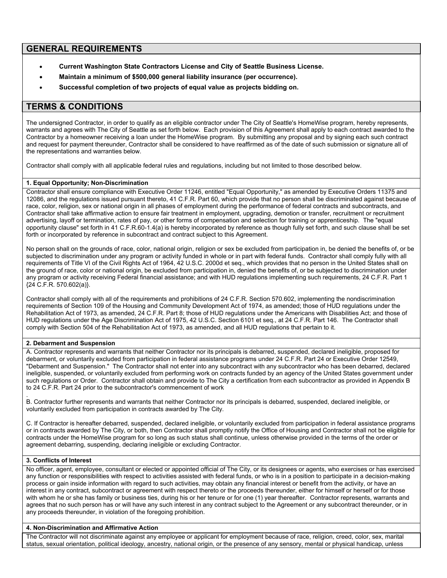# **GENERAL REQUIREMENTS**

- **Current Washington State Contractors License and City of Seattle Business License.**
- **Maintain a minimum of \$500,000 general liability insurance (per occurrence).**
- **Successful completion of two projects of equal value as projects bidding on.**

# **TERMS & CONDITIONS**

The undersigned Contractor, in order to qualify as an eligible contractor under The City of Seattle's HomeWise program, hereby represents, warrants and agrees with The City of Seattle as set forth below. Each provision of this Agreement shall apply to each contract awarded to the Contractor by a homeowner receiving a loan under the HomeWise program. By submitting any proposal and by signing each such contract and request for payment thereunder, Contractor shall be considered to have reaffirmed as of the date of such submission or signature all of the representations and warranties below.

Contractor shall comply with all applicable federal rules and regulations, including but not limited to those described below.

# **1. Equal Opportunity; Non-Discrimination**

Contractor shall ensure compliance with Executive Order 11246, entitled "Equal Opportunity," as amended by Executive Orders 11375 and 12086, and the regulations issued pursuant thereto, 41 C.F.R. Part 60, which provide that no person shall be discriminated against because of race, color, religion, sex or national origin in all phases of employment during the performance of federal contracts and subcontracts, and Contractor shall take affirmative action to ensure fair treatment in employment, upgrading, demotion or transfer, recruitment or recruitment advertising, layoff or termination, rates of pay, or other forms of compensation and selection for training or apprenticeship. The "equal opportunity clause" set forth in 41 C.F.R.60-1.4(a) is hereby incorporated by reference as though fully set forth, and such clause shall be set forth or incorporated by reference in subcontract and contract subject to this Agreement.

No person shall on the grounds of race, color, national origin, religion or sex be excluded from participation in, be denied the benefits of, or be subjected to discrimination under any program or activity funded in whole or in part with federal funds. Contractor shall comply fully with all requirements of Title VI of the Civil Rights Act of 1964, 42 U.S.C. 2000d et seq., which provides that no person in the United States shall on the ground of race, color or national origin, be excluded from participation in, denied the benefits of, or be subjected to discrimination under any program or activity receiving Federal financial assistance; and with HUD regulations implementing such requirements, 24 C.F.R. Part 1 {24 C.F.R. 570.602(a)}.

Contractor shall comply with all of the requirements and prohibitions of 24 C.F.R. Section 570.602, implementing the nondiscrimination requirements of Section 109 of the Housing and Community Development Act of 1974, as amended; those of HUD regulations under the Rehabilitation Act of 1973, as amended, 24 C.F.R. Part 8; those of HUD regulations under the Americans with Disabilities Act; and those of HUD regulations under the Age Discrimination Act of 1975, 42 U.S.C. Section 6101 et seq., at 24 C.F.R. Part 146. The Contractor shall comply with Section 504 of the Rehabilitation Act of 1973, as amended, and all HUD regulations that pertain to it.

# **2. Debarment and Suspension**

A. Contractor represents and warrants that neither Contractor nor its principals is debarred, suspended, declared ineligible, proposed for debarment, or voluntarily excluded from participation in federal assistance programs under 24 C.F.R. Part 24 or Executive Order 12549, "Debarment and Suspension." The Contractor shall not enter into any subcontract with any subcontractor who has been debarred, declared ineligible, suspended, or voluntarily excluded from performing work on contracts funded by an agency of the United States government under such regulations or Order. Contractor shall obtain and provide to The City a certification from each subcontractor as provided in Appendix B to 24 C.F.R. Part 24 prior to the subcontractor's commencement of work

. B. Contractor further represents and warrants that neither Contractor nor its principals is debarred, suspended, declared ineligible, or voluntarily excluded from participation in contracts awarded by The City.

C. If Contractor is hereafter debarred, suspended, declared ineligible, or voluntarily excluded from participation in federal assistance programs or in contracts awarded by The City, or both, then Contractor shall promptly notify the Office of Housing and Contractor shall not be eligible for contracts under the HomeWise program for so long as such status shall continue, unless otherwise provided in the terms of the order or agreement debarring, suspending, declaring ineligible or excluding Contractor.

# **3. Conflicts of Interest**

No officer, agent, employee, consultant or elected or appointed official of The City, or its designees or agents, who exercises or has exercised any function or responsibilities with respect to activities assisted with federal funds, or who is in a position to participate in a decision-making process or gain inside information with regard to such activities, may obtain any financial interest or benefit from the activity, or have an interest in any contract, subcontract or agreement with respect thereto or the proceeds thereunder, either for himself or herself or for those with whom he or she has family or business ties, during his or her tenure or for one (1) year thereafter. Contractor represents, warrants and agrees that no such person has or will have any such interest in any contract subject to the Agreement or any subcontract thereunder, or in any proceeds thereunder, in violation of the foregoing prohibition.

# **4. Non-Discrimination and Affirmative Action**

The Contractor will not discriminate against any employee or applicant for employment because of race, religion, creed, color, sex, marital status, sexual orientation, political ideology, ancestry, national origin, or the presence of any sensory, mental or physical handicap, unless